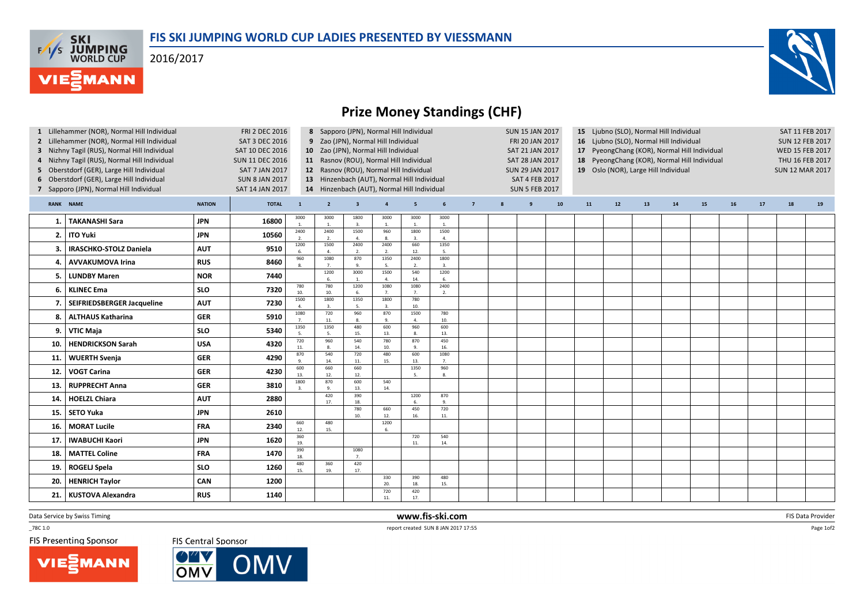## FIS SKI JUMPING WORLD CUP LADIES PRESENTED BY VIESSMANN

2016/2017

**F/T/S SKI<br>WORLD CUP** 

MANN



## Prize Money Standings (CHF)

| 1 Lillehammer (NOR), Normal Hill Individual<br><b>FRI 2 DEC 2016</b><br>Lillehammer (NOR), Normal Hill Individual<br><b>SAT 3 DEC 2016</b><br>3 Nizhny Tagil (RUS), Normal Hill Individual<br>SAT 10 DEC 2016<br>4 Nizhny Tagil (RUS), Normal Hill Individual<br><b>SUN 11 DEC 2016</b><br>5 Oberstdorf (GER), Large Hill Individual<br><b>SAT 7 JAN 2017</b><br>6 Oberstdorf (GER), Large Hill Individual<br><b>SUN 8 JAN 2017</b><br>7 Sapporo (JPN), Normal Hill Individual<br><b>SAT 14 JAN 2017</b> |                               |               |              |                                  | 8 Sapporo (JPN), Normal Hill Individual<br>9 Zao (JPN), Normal Hill Individual<br>10 Zao (JPN), Normal Hill Individual<br>11 Rasnov (ROU), Normal Hill Individual<br>12 Rasnov (ROU), Normal Hill Individual<br>13 Hinzenbach (AUT), Normal Hill Individual<br>14 Hinzenbach (AUT), Normal Hill Individual |                         |                        |            |                      | <b>SUN 15 JAN 2017</b><br>FRI 20 JAN 2017<br>SAT 21 JAN 2017<br>SAT 28 JAN 2017<br><b>SUN 29 JAN 2017</b><br><b>SAT 4 FEB 2017</b><br><b>SUN 5 FEB 2017</b> |   |   |    | 15 Ljubno (SLO), Normal Hill Individual<br>16 Ljubno (SLO), Normal Hill Individual<br>17 PyeongChang (KOR), Normal Hill Individual<br>18 PyeongChang (KOR), Normal Hill Individual<br>19 Oslo (NOR), Large Hill Individual |    |    |    |    |    |    | SAT 11 FEB 2017<br><b>SUN 12 FEB 2017</b><br>WED 15 FEB 2017<br>THU 16 FEB 2017<br><b>SUN 12 MAR 2017</b> |    |  |
|----------------------------------------------------------------------------------------------------------------------------------------------------------------------------------------------------------------------------------------------------------------------------------------------------------------------------------------------------------------------------------------------------------------------------------------------------------------------------------------------------------|-------------------------------|---------------|--------------|----------------------------------|------------------------------------------------------------------------------------------------------------------------------------------------------------------------------------------------------------------------------------------------------------------------------------------------------------|-------------------------|------------------------|------------|----------------------|-------------------------------------------------------------------------------------------------------------------------------------------------------------|---|---|----|----------------------------------------------------------------------------------------------------------------------------------------------------------------------------------------------------------------------------|----|----|----|----|----|----|-----------------------------------------------------------------------------------------------------------|----|--|
|                                                                                                                                                                                                                                                                                                                                                                                                                                                                                                          | <b>RANK NAME</b>              | <b>NATION</b> | <b>TOTAL</b> | $\mathbf{1}$                     | $\overline{2}$                                                                                                                                                                                                                                                                                             | $\overline{\mathbf{3}}$ | $\overline{4}$         | 5          | 6                    | $7\overline{ }$                                                                                                                                             | 8 | 9 | 10 | 11                                                                                                                                                                                                                         | 12 | 13 | 14 | 15 | 16 | 17 | 18                                                                                                        | 19 |  |
| 1. I                                                                                                                                                                                                                                                                                                                                                                                                                                                                                                     | <b>TAKANASHI Sara</b>         | <b>JPN</b>    | 16800        | 3000                             | 3000<br>1.                                                                                                                                                                                                                                                                                                 | 1800<br>3.              | 3000<br>1.             | 3000<br>1. | 3000<br>$\mathbf{1}$ |                                                                                                                                                             |   |   |    |                                                                                                                                                                                                                            |    |    |    |    |    |    |                                                                                                           |    |  |
| 2.                                                                                                                                                                                                                                                                                                                                                                                                                                                                                                       | <b>ITO Yuki</b>               | <b>JPN</b>    | 10560        | 2400<br>2.                       | 2400<br>2.                                                                                                                                                                                                                                                                                                 | 1500<br>4.              | 960<br>$\mathbf{g}$    | 1800       | 1500<br>4.           |                                                                                                                                                             |   |   |    |                                                                                                                                                                                                                            |    |    |    |    |    |    |                                                                                                           |    |  |
| З.                                                                                                                                                                                                                                                                                                                                                                                                                                                                                                       | <b>IRASCHKO-STOLZ Daniela</b> | <b>AUT</b>    | 9510         | 1200<br>6.                       | 1500<br>4.                                                                                                                                                                                                                                                                                                 | 2400<br>$\overline{2}$  | 2400<br>2.             | 660<br>12. | 1350<br>-5.          |                                                                                                                                                             |   |   |    |                                                                                                                                                                                                                            |    |    |    |    |    |    |                                                                                                           |    |  |
| 4.                                                                                                                                                                                                                                                                                                                                                                                                                                                                                                       | <b>AVVAKUMOVA Irina</b>       | <b>RUS</b>    | 8460         | 960                              | 1080<br>7.                                                                                                                                                                                                                                                                                                 | 870<br>9.               | 1350<br>5.             | 2400<br>2. | 1800<br>3.           |                                                                                                                                                             |   |   |    |                                                                                                                                                                                                                            |    |    |    |    |    |    |                                                                                                           |    |  |
| 5                                                                                                                                                                                                                                                                                                                                                                                                                                                                                                        | <b>LUNDBY Maren</b>           | <b>NOR</b>    | 7440         |                                  | 1200<br>6.                                                                                                                                                                                                                                                                                                 | 3000<br>$\mathbf{1}$    | 1500<br>$\overline{a}$ | 540<br>14. | 1200<br>6.           |                                                                                                                                                             |   |   |    |                                                                                                                                                                                                                            |    |    |    |    |    |    |                                                                                                           |    |  |
| 6.                                                                                                                                                                                                                                                                                                                                                                                                                                                                                                       | <b>KLINEC Ema</b>             | <b>SLO</b>    | 7320         | 780<br>10.                       | 780<br>10.                                                                                                                                                                                                                                                                                                 | 1200<br>6.              | 1080<br>7 <sub>1</sub> | 1080<br>7. | 2400<br>2.           |                                                                                                                                                             |   |   |    |                                                                                                                                                                                                                            |    |    |    |    |    |    |                                                                                                           |    |  |
|                                                                                                                                                                                                                                                                                                                                                                                                                                                                                                          | SEIFRIEDSBERGER Jacqueline    | <b>AUT</b>    | 7230         | 1500<br>$\Delta$                 | 1800<br>3.                                                                                                                                                                                                                                                                                                 | 1350<br>5.              | 1800<br>3.             | 780<br>10. |                      |                                                                                                                                                             |   |   |    |                                                                                                                                                                                                                            |    |    |    |    |    |    |                                                                                                           |    |  |
| 8.                                                                                                                                                                                                                                                                                                                                                                                                                                                                                                       | <b>ALTHAUS Katharina</b>      | <b>GER</b>    | 5910         | 1080                             | 720<br>11.                                                                                                                                                                                                                                                                                                 | 960<br>8.               | 870<br>9.              | 1500<br>4. | 780<br>10.           |                                                                                                                                                             |   |   |    |                                                                                                                                                                                                                            |    |    |    |    |    |    |                                                                                                           |    |  |
| 9.                                                                                                                                                                                                                                                                                                                                                                                                                                                                                                       | <b>VTIC Maja</b>              | <b>SLO</b>    | 5340         | 1350<br>$\overline{\phantom{a}}$ | 1350                                                                                                                                                                                                                                                                                                       | 480<br>15.              | 600<br>13.             | 960<br>8.  | 600<br>13.           |                                                                                                                                                             |   |   |    |                                                                                                                                                                                                                            |    |    |    |    |    |    |                                                                                                           |    |  |
| 10.                                                                                                                                                                                                                                                                                                                                                                                                                                                                                                      | <b>HENDRICKSON Sarah</b>      | <b>USA</b>    | 4320         | 720<br>11.                       | 960<br>8.                                                                                                                                                                                                                                                                                                  | 540<br>14.              | 780<br>10.             | 870<br>9.  | 450<br>16.           |                                                                                                                                                             |   |   |    |                                                                                                                                                                                                                            |    |    |    |    |    |    |                                                                                                           |    |  |
| 11,                                                                                                                                                                                                                                                                                                                                                                                                                                                                                                      | <b>WUERTH Svenja</b>          | <b>GER</b>    | 4290         | 870<br>$\mathbf{Q}$              | 540<br>14.                                                                                                                                                                                                                                                                                                 | 720<br>11.              | 480<br>15.             | 600<br>13. | 1080<br>7.           |                                                                                                                                                             |   |   |    |                                                                                                                                                                                                                            |    |    |    |    |    |    |                                                                                                           |    |  |
| 12.                                                                                                                                                                                                                                                                                                                                                                                                                                                                                                      | <b>VOGT Carina</b>            | <b>GER</b>    | 4230         | 600<br>13.                       | 660<br>12.                                                                                                                                                                                                                                                                                                 | 660<br>12.              |                        | 1350<br>5. | 960<br>8.            |                                                                                                                                                             |   |   |    |                                                                                                                                                                                                                            |    |    |    |    |    |    |                                                                                                           |    |  |
| 13.                                                                                                                                                                                                                                                                                                                                                                                                                                                                                                      | <b>RUPPRECHT Anna</b>         | <b>GER</b>    | 3810         | 1800                             | 870<br>$\mathbf{q}$                                                                                                                                                                                                                                                                                        | 600<br>13.              | 540<br>14.             |            |                      |                                                                                                                                                             |   |   |    |                                                                                                                                                                                                                            |    |    |    |    |    |    |                                                                                                           |    |  |
| 14.                                                                                                                                                                                                                                                                                                                                                                                                                                                                                                      | <b>HOELZL Chiara</b>          | <b>AUT</b>    | 2880         |                                  | 420<br>17.                                                                                                                                                                                                                                                                                                 | 390<br>18               |                        | 1200       | 870                  |                                                                                                                                                             |   |   |    |                                                                                                                                                                                                                            |    |    |    |    |    |    |                                                                                                           |    |  |
| 15.                                                                                                                                                                                                                                                                                                                                                                                                                                                                                                      | SETO Yuka                     | <b>JPN</b>    | 2610         |                                  |                                                                                                                                                                                                                                                                                                            | 780<br>10.              | 660<br>12.             | 450<br>16. | 720<br>11.           |                                                                                                                                                             |   |   |    |                                                                                                                                                                                                                            |    |    |    |    |    |    |                                                                                                           |    |  |
| 16.                                                                                                                                                                                                                                                                                                                                                                                                                                                                                                      | <b>MORAT Lucile</b>           | <b>FRA</b>    | 2340         | 660<br>12.                       | 480<br>15.                                                                                                                                                                                                                                                                                                 |                         | 1200<br>6.             |            |                      |                                                                                                                                                             |   |   |    |                                                                                                                                                                                                                            |    |    |    |    |    |    |                                                                                                           |    |  |
| 17.                                                                                                                                                                                                                                                                                                                                                                                                                                                                                                      | <b>IWABUCHI Kaori</b>         | <b>JPN</b>    | 1620         | 360<br>19.                       |                                                                                                                                                                                                                                                                                                            |                         |                        | 720<br>11. | 540<br>14.           |                                                                                                                                                             |   |   |    |                                                                                                                                                                                                                            |    |    |    |    |    |    |                                                                                                           |    |  |
| 18.                                                                                                                                                                                                                                                                                                                                                                                                                                                                                                      | <b>MATTEL Coline</b>          | <b>FRA</b>    | 1470         | 390<br>18.                       |                                                                                                                                                                                                                                                                                                            | 1080<br>7.              |                        |            |                      |                                                                                                                                                             |   |   |    |                                                                                                                                                                                                                            |    |    |    |    |    |    |                                                                                                           |    |  |
| 19.                                                                                                                                                                                                                                                                                                                                                                                                                                                                                                      | ROGELJ Spela                  | <b>SLO</b>    | 1260         | 480<br>15.                       | 360<br>19.                                                                                                                                                                                                                                                                                                 | 420<br>17.              |                        |            |                      |                                                                                                                                                             |   |   |    |                                                                                                                                                                                                                            |    |    |    |    |    |    |                                                                                                           |    |  |
| 20.                                                                                                                                                                                                                                                                                                                                                                                                                                                                                                      | <b>HENRICH Taylor</b>         | CAN           | 1200         |                                  |                                                                                                                                                                                                                                                                                                            |                         | 330<br>20.             | 390<br>18. | 480<br>15.           |                                                                                                                                                             |   |   |    |                                                                                                                                                                                                                            |    |    |    |    |    |    |                                                                                                           |    |  |
| 21.                                                                                                                                                                                                                                                                                                                                                                                                                                                                                                      | <b>KUSTOVA Alexandra</b>      | <b>RUS</b>    | 1140         |                                  |                                                                                                                                                                                                                                                                                                            |                         | 720<br>11.             | 420<br>17. |                      |                                                                                                                                                             |   |   |    |                                                                                                                                                                                                                            |    |    |    |    |    |    |                                                                                                           |    |  |

Data Service by Swiss Timing

 $-78C 1.0$ 

**FIS Presenting Sponsor** 

**VIESMANN** 

FIS Central Sponsor



 www.fis-ski.comreport created SUN 8 JAN 2017 17:55

**m** FIS Data Provider<br>Table

Page 1of2